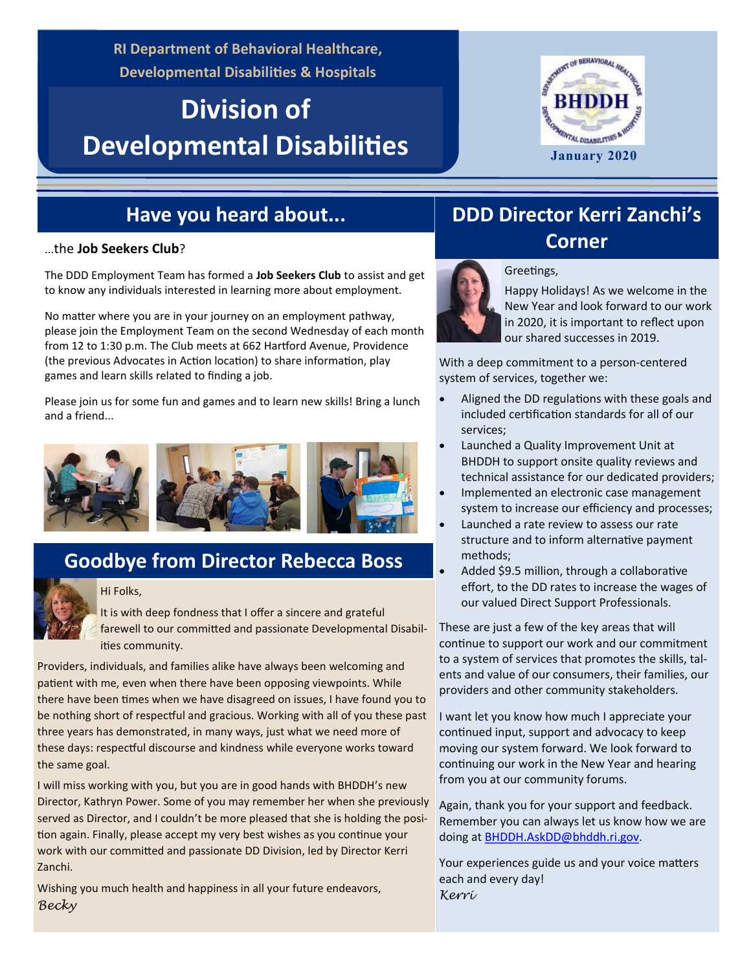**RI Department of Behavioral Healthcare, Developmental Disabilities & Hospitals**

# **Division of Developmental Disabilities**



#### **Have you heard about...**

The DDD Employment Team has formed a **Job Seekers Club** to assist and get to know any individuals interested in learning more about employment.

No matter where you are in your journey on an employment pathway, please join the Employment Team on the second Wednesday of each month from 12 to 1:30 p.m. The Club meets at 662 Hartford Avenue, Providence (the previous Advocates in Action location) to share information, play games and learn skills related to finding a job.

Please join us for some fun and games and to learn new skills! Bring a lunch and a friend...



## **Goodbye from Director Rebecca Boss**



#### Hi Folks,

It is with deep fondness that I offer a sincere and grateful farewell to our committed and passionate Developmental Disabilities community.

Providers, individuals, and families alike have always been welcoming and patient with me, even when there have been opposing viewpoints. While there have been times when we have disagreed on issues, I have found you to be nothing short of respectful and gracious. Working with all of you these past three years has demonstrated, in many ways, just what we need more of these days: respectful discourse and kindness while everyone works toward the same goal.

I will miss working with you, but you are in good hands with BHDDH's new Director, Kathryn Power. Some of you may remember her when she previously served as Director, and I couldn't be more pleased that she is holding the position again. Finally, please accept my very best wishes as you continue your work with our committed and passionate DD Division, led by Director Kerri Zanchi.

Wishing you much health and happiness in all your future endeavors, *Becky*

# **DDD Director Kerri Zanchi's Corner** ...the **Job Seekers Club**?



#### Greetings,

Happy Holidays! As we welcome in the New Year and look forward to our work in 2020, it is important to reflect upon our shared successes in 2019.

With a deep commitment to a person-centered system of services, together we:

- Aligned the DD regulations with these goals and included certification standards for all of our services;
- Launched a Quality Improvement Unit at BHDDH to support onsite quality reviews and technical assistance for our dedicated providers;
- Implemented an electronic case management system to increase our efficiency and processes;
- Launched a rate review to assess our rate structure and to inform alternative payment methods;
- Added \$9.5 million, through a collaborative effort, to the DD rates to increase the wages of our valued Direct Support Professionals.

These are just a few of the key areas that will continue to support our work and our commitment to a system of services that promotes the skills, talents and value of our consumers, their families, our providers and other community stakeholders.

I want let you know how much I appreciate your continued input, support and advocacy to keep moving our system forward. We look forward to continuing our work in the New Year and hearing from you at our community forums.

Again, thank you for your support and feedback. Remember you can always let us know how we are doing at [BHDDH.AskDD@bhddh.ri.gov.](mailto:BHDDH.AskDD@bhddh.ri.gov) 

Your experiences guide us and your voice matters each and every day! *Kerri*